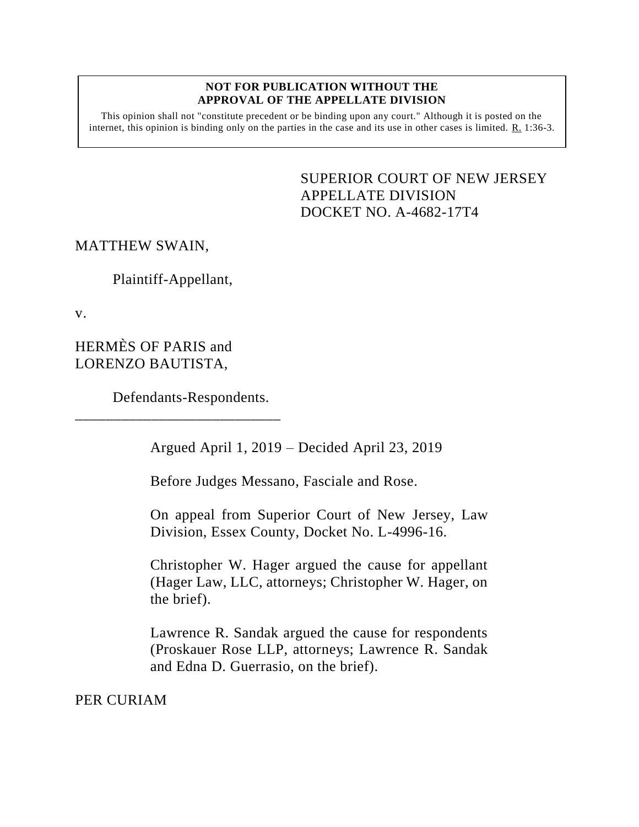#### **NOT FOR PUBLICATION WITHOUT THE APPROVAL OF THE APPELLATE DIVISION**

This opinion shall not "constitute precedent or be binding upon any court." Although it is posted on the internet, this opinion is binding only on the parties in the case and its use in other cases is limited. R. 1:36-3.

> <span id="page-0-0"></span>SUPERIOR COURT OF NEW JERSEY APPELLATE DIVISION DOCKET NO. A-4682-17T4

## MATTHEW SWAIN,

Plaintiff-Appellant,

v.

HERMÈS OF PARIS and LORENZO BAUTISTA,

Defendants-Respondents.

\_\_\_\_\_\_\_\_\_\_\_\_\_\_\_\_\_\_\_\_\_\_\_\_\_\_\_

Argued April 1, 2019 – Decided April 23, 2019

Before Judges Messano, Fasciale and Rose.

On appeal from Superior Court of New Jersey, Law Division, Essex County, Docket No. L-4996-16.

Christopher W. Hager argued the cause for appellant (Hager Law, LLC, attorneys; Christopher W. Hager, on the brief).

Lawrence R. Sandak argued the cause for respondents (Proskauer Rose LLP, attorneys; Lawrence R. Sandak and Edna D. Guerrasio, on the brief).

PER CURIAM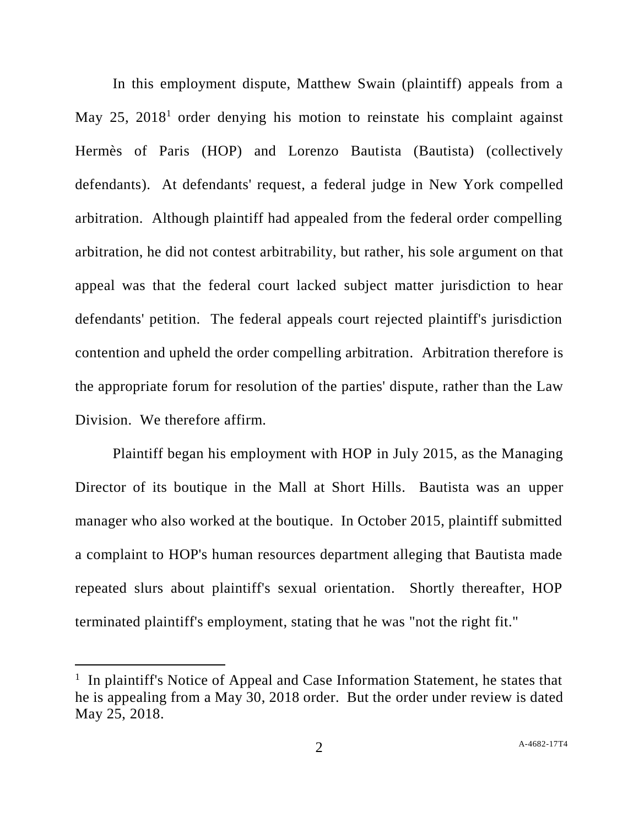In this employment dispute, Matthew Swain (plaintiff) appeals from a May 25,  $2018<sup>1</sup>$  order denying his motion to reinstate his complaint against Hermès of Paris (HOP) and Lorenzo Bautista (Bautista) (collectively defendants). At defendants' request, a federal judge in New York compelled arbitration. Although plaintiff had appealed from the federal order compelling arbitration, he did not contest arbitrability, but rather, his sole argument on that appeal was that the federal court lacked subject matter jurisdiction to hear defendants' petition. The federal appeals court rejected plaintiff's jurisdiction contention and upheld the order compelling arbitration. Arbitration therefore is the appropriate forum for resolution of the parties' dispute, rather than the Law Division. We therefore affirm.

Plaintiff began his employment with HOP in July 2015, as the Managing Director of its boutique in the Mall at Short Hills. Bautista was an upper manager who also worked at the boutique. In October 2015, plaintiff submitted a complaint to HOP's human resources department alleging that Bautista made repeated slurs about plaintiff's sexual orientation. Shortly thereafter, HOP terminated plaintiff's employment, stating that he was "not the right fit."

l

<sup>&</sup>lt;sup>1</sup> In plaintiff's Notice of Appeal and Case Information Statement, he states that he is appealing from a May 30, 2018 order. But the order under review is dated May 25, 2018.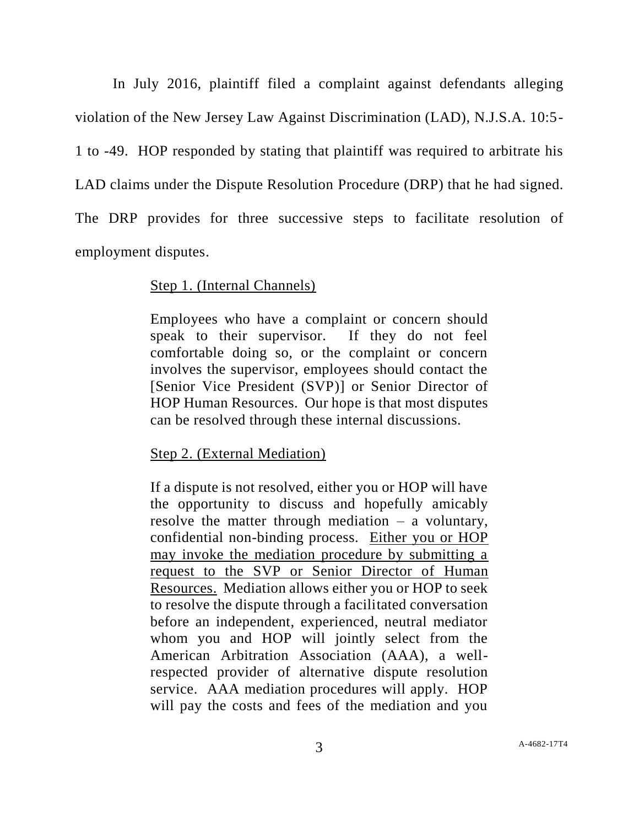In July 2016, plaintiff filed a complaint against defendants alleging violation of the New Jersey Law Against Discrimination (LAD), N.J.S.A. 10:5- 1 to -49. HOP responded by stating that plaintiff was required to arbitrate his LAD claims under the Dispute Resolution Procedure (DRP) that he had signed. The DRP provides for three successive steps to facilitate resolution of employment disputes.

### Step 1. (Internal Channels)

Employees who have a complaint or concern should speak to their supervisor. If they do not feel comfortable doing so, or the complaint or concern involves the supervisor, employees should contact the [Senior Vice President (SVP)] or Senior Director of HOP Human Resources. Our hope is that most disputes can be resolved through these internal discussions.

## Step 2. (External Mediation)

If a dispute is not resolved, either you or HOP will have the opportunity to discuss and hopefully amicably resolve the matter through mediation – a voluntary, confidential non-binding process. Either you or HOP may invoke the mediation procedure by submitting a request to the SVP or Senior Director of Human Resources. Mediation allows either you or HOP to seek to resolve the dispute through a facilitated conversation before an independent, experienced, neutral mediator whom you and HOP will jointly select from the American Arbitration Association (AAA), a wellrespected provider of alternative dispute resolution service. AAA mediation procedures will apply. HOP will pay the costs and fees of the mediation and you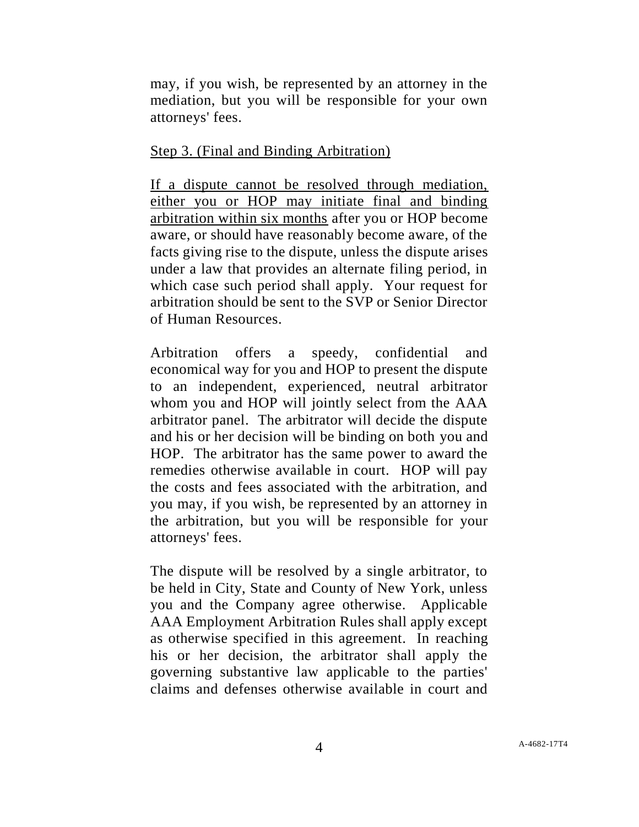may, if you wish, be represented by an attorney in the mediation, but you will be responsible for your own attorneys' fees.

## Step 3. (Final and Binding Arbitration)

If a dispute cannot be resolved through mediation, either you or HOP may initiate final and binding arbitration within six months after you or HOP become aware, or should have reasonably become aware, of the facts giving rise to the dispute, unless the dispute arises under a law that provides an alternate filing period, in which case such period shall apply. Your request for arbitration should be sent to the SVP or Senior Director of Human Resources.

Arbitration offers a speedy, confidential and economical way for you and HOP to present the dispute to an independent, experienced, neutral arbitrator whom you and HOP will jointly select from the AAA arbitrator panel. The arbitrator will decide the dispute and his or her decision will be binding on both you and HOP. The arbitrator has the same power to award the remedies otherwise available in court. HOP will pay the costs and fees associated with the arbitration, and you may, if you wish, be represented by an attorney in the arbitration, but you will be responsible for your attorneys' fees.

The dispute will be resolved by a single arbitrator, to be held in City, State and County of New York, unless you and the Company agree otherwise. Applicable AAA Employment Arbitration Rules shall apply except as otherwise specified in this agreement. In reaching his or her decision, the arbitrator shall apply the governing substantive law applicable to the parties' claims and defenses otherwise available in court and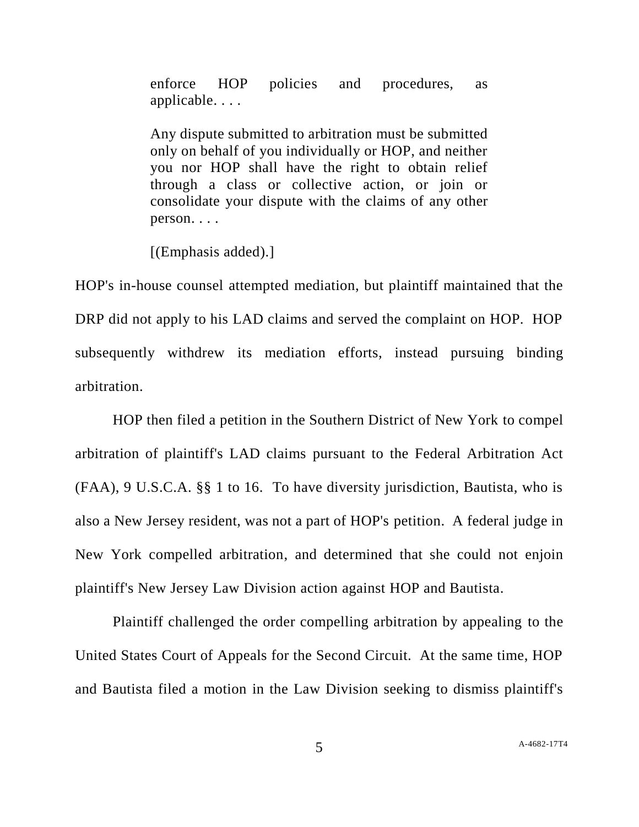enforce HOP policies and procedures, as applicable. . . .

Any dispute submitted to arbitration must be submitted only on behalf of you individually or HOP, and neither you nor HOP shall have the right to obtain relief through a class or collective action, or join or consolidate your dispute with the claims of any other person. . . .

[(Emphasis added).]

HOP's in-house counsel attempted mediation, but plaintiff maintained that the DRP did not apply to his LAD claims and served the complaint on HOP. HOP subsequently withdrew its mediation efforts, instead pursuing binding arbitration.

HOP then filed a petition in the Southern District of New York to compel arbitration of plaintiff's LAD claims pursuant to the Federal Arbitration Act (FAA), 9 U.S.C.A. §§ 1 to 16. To have diversity jurisdiction, Bautista, who is also a New Jersey resident, was not a part of HOP's petition. A federal judge in New York compelled arbitration, and determined that she could not enjoin plaintiff's New Jersey Law Division action against HOP and Bautista.

Plaintiff challenged the order compelling arbitration by appealing to the United States Court of Appeals for the Second Circuit. At the same time, HOP and Bautista filed a motion in the Law Division seeking to dismiss plaintiff's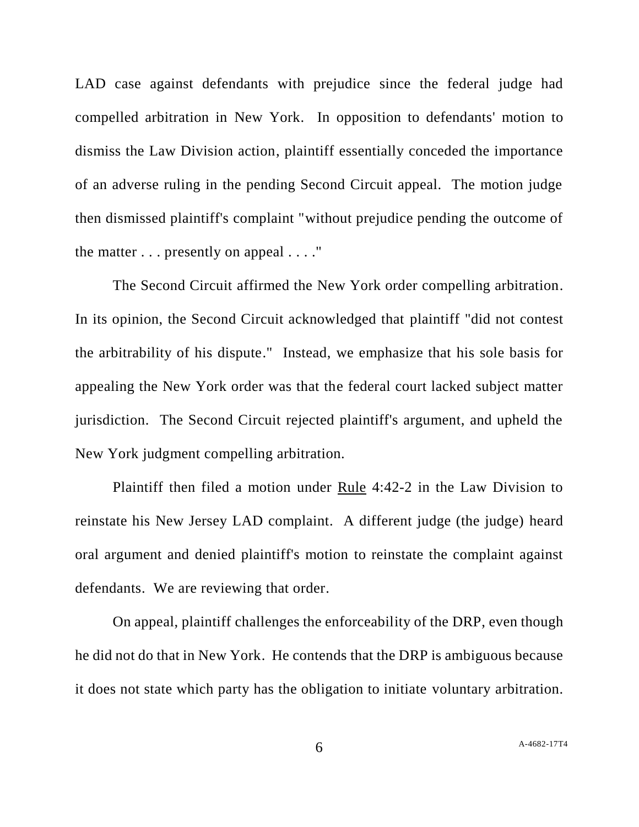LAD case against defendants with prejudice since the federal judge had compelled arbitration in New York. In opposition to defendants' motion to dismiss the Law Division action, plaintiff essentially conceded the importance of an adverse ruling in the pending Second Circuit appeal. The motion judge then dismissed plaintiff's complaint "without prejudice pending the outcome of the matter . . . presently on appeal . . . ."

The Second Circuit affirmed the New York order compelling arbitration. In its opinion, the Second Circuit acknowledged that plaintiff "did not contest the arbitrability of his dispute." Instead, we emphasize that his sole basis for appealing the New York order was that the federal court lacked subject matter jurisdiction. The Second Circuit rejected plaintiff's argument, and upheld the New York judgment compelling arbitration.

Plaintiff then filed a motion under Rule 4:42-2 in the Law Division to reinstate his New Jersey LAD complaint. A different judge (the judge) heard oral argument and denied plaintiff's motion to reinstate the complaint against defendants. We are reviewing that order.

On appeal, plaintiff challenges the enforceability of the DRP, even though he did not do that in New York. He contends that the DRP is ambiguous because it does not state which party has the obligation to initiate voluntary arbitration.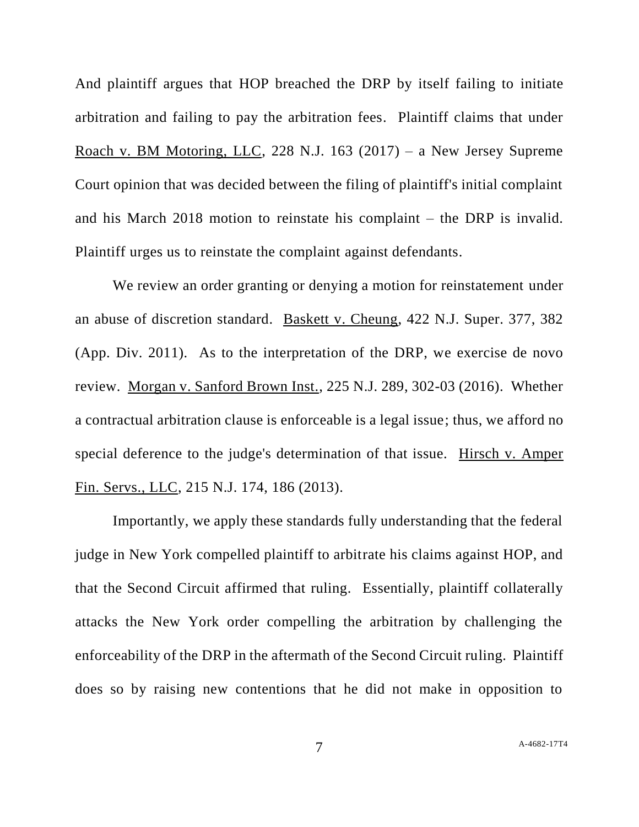And plaintiff argues that HOP breached the DRP by itself failing to initiate arbitration and failing to pay the arbitration fees. Plaintiff claims that under Roach v. BM Motoring, LLC, 228 N.J. 163 (2017) – a New Jersey Supreme Court opinion that was decided between the filing of plaintiff's initial complaint and his March 2018 motion to reinstate his complaint – the DRP is invalid. Plaintiff urges us to reinstate the complaint against defendants.

We review an order granting or denying a motion for reinstatement under an abuse of discretion standard. Baskett v. Cheung, 422 N.J. Super. 377, 382 (App. Div. 2011). As to the interpretation of the DRP, we exercise de novo review. Morgan v. Sanford Brown Inst., 225 N.J. 289, 302-03 (2016). Whether a contractual arbitration clause is enforceable is a legal issue; thus, we afford no special deference to the judge's determination of that issue. Hirsch v. Amper Fin. Servs., LLC, 215 N.J. 174, 186 (2013).

Importantly, we apply these standards fully understanding that the federal judge in New York compelled plaintiff to arbitrate his claims against HOP, and that the Second Circuit affirmed that ruling. Essentially, plaintiff collaterally attacks the New York order compelling the arbitration by challenging the enforceability of the DRP in the aftermath of the Second Circuit ruling. Plaintiff does so by raising new contentions that he did not make in opposition to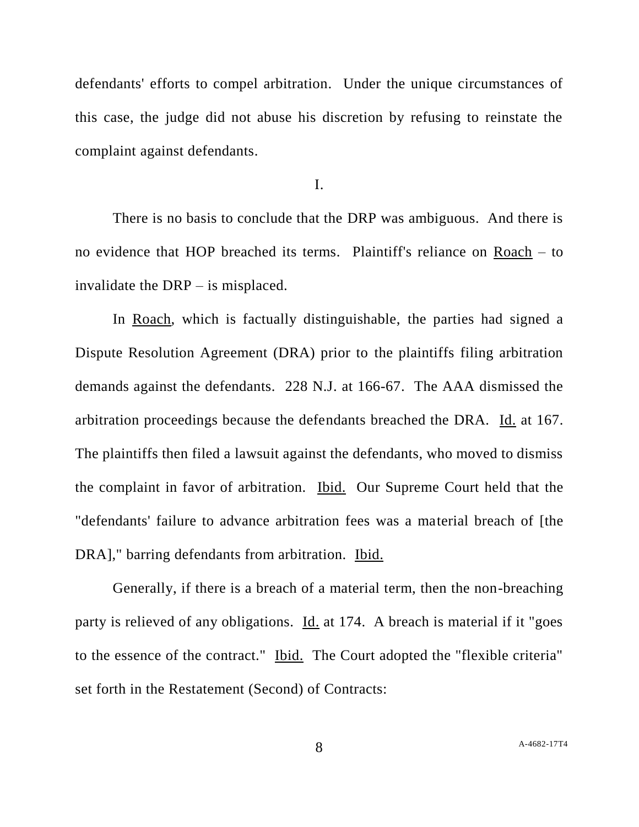defendants' efforts to compel arbitration. Under the unique circumstances of this case, the judge did not abuse his discretion by refusing to reinstate the complaint against defendants.

I.

There is no basis to conclude that the DRP was ambiguous. And there is no evidence that HOP breached its terms. Plaintiff's reliance on Roach – to invalidate the DRP – is misplaced.

In Roach, which is factually distinguishable, the parties had signed a Dispute Resolution Agreement (DRA) prior to the plaintiffs filing arbitration demands against the defendants. 228 N.J. at 166-67. The AAA dismissed the arbitration proceedings because the defendants breached the DRA. Id. at 167. The plaintiffs then filed a lawsuit against the defendants, who moved to dismiss the complaint in favor of arbitration. Ibid. Our Supreme Court held that the "defendants' failure to advance arbitration fees was a material breach of [the DRA]," barring defendants from arbitration. Ibid.

Generally, if there is a breach of a material term, then the non-breaching party is relieved of any obligations. Id. at 174. A breach is material if it "goes to the essence of the contract." Ibid. The Court adopted the "flexible criteria" set forth in the Restatement (Second) of Contracts: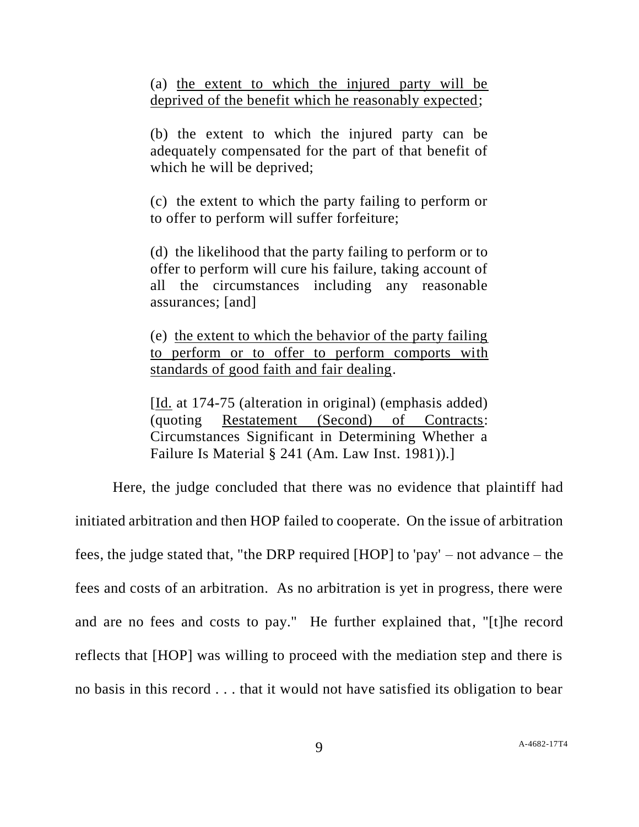(a) the extent to which the injured party will be deprived of the benefit which he reasonably expected;

(b) the extent to which the injured party can be adequately compensated for the part of that benefit of which he will be deprived;

(c) the extent to which the party failing to perform or to offer to perform will suffer forfeiture;

(d) the likelihood that the party failing to perform or to offer to perform will cure his failure, taking account of all the circumstances including any reasonable assurances; [and]

(e) the extent to which the behavior of the party failing to perform or to offer to perform comports with standards of good faith and fair dealing.

[Id. at 174-75 (alteration in original) (emphasis added) (quoting Restatement (Second) of Contracts: Circumstances Significant in Determining Whether a Failure Is Material § 241 (Am. Law Inst. 1981)).]

Here, the judge concluded that there was no evidence that plaintiff had initiated arbitration and then HOP failed to cooperate. On the issue of arbitration fees, the judge stated that, "the DRP required [HOP] to 'pay' – not advance – the fees and costs of an arbitration. As no arbitration is yet in progress, there were and are no fees and costs to pay." He further explained that, "[t]he record reflects that [HOP] was willing to proceed with the mediation step and there is no basis in this record . . . that it would not have satisfied its obligation to bear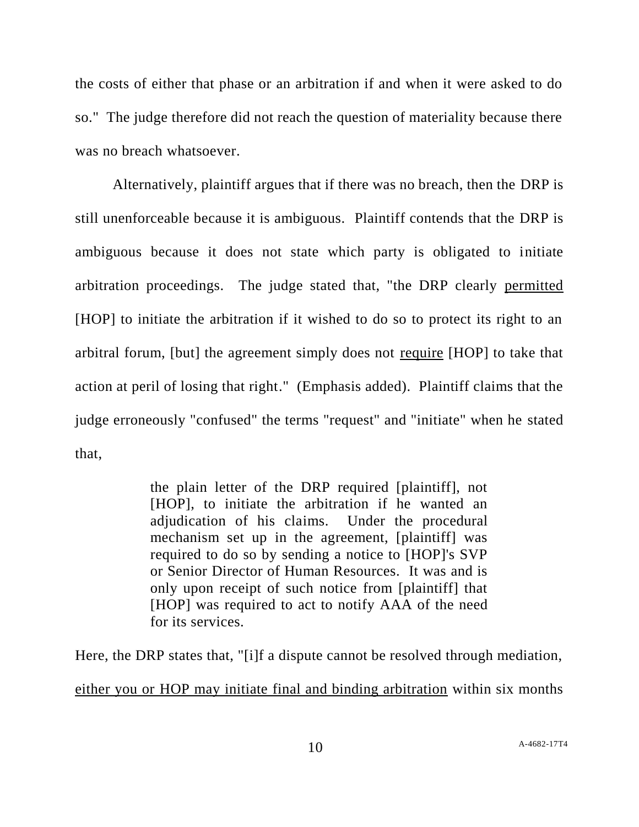the costs of either that phase or an arbitration if and when it were asked to do so." The judge therefore did not reach the question of materiality because there was no breach whatsoever.

Alternatively, plaintiff argues that if there was no breach, then the DRP is still unenforceable because it is ambiguous. Plaintiff contends that the DRP is ambiguous because it does not state which party is obligated to initiate arbitration proceedings. The judge stated that, "the DRP clearly permitted [HOP] to initiate the arbitration if it wished to do so to protect its right to an arbitral forum, [but] the agreement simply does not require [HOP] to take that action at peril of losing that right." (Emphasis added). Plaintiff claims that the judge erroneously "confused" the terms "request" and "initiate" when he stated that,

> the plain letter of the DRP required [plaintiff], not [HOP], to initiate the arbitration if he wanted an adjudication of his claims. Under the procedural mechanism set up in the agreement, [plaintiff] was required to do so by sending a notice to [HOP]'s SVP or Senior Director of Human Resources. It was and is only upon receipt of such notice from [plaintiff] that [HOP] was required to act to notify AAA of the need for its services.

Here, the DRP states that, "[i]f a dispute cannot be resolved through mediation, either you or HOP may initiate final and binding arbitration within six months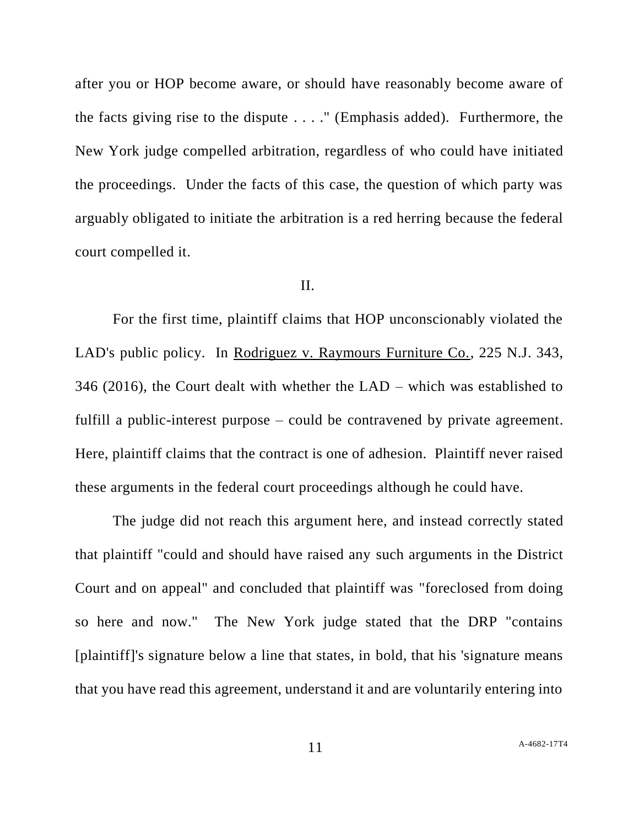after you or HOP become aware, or should have reasonably become aware of the facts giving rise to the dispute . . . ." (Emphasis added). Furthermore, the New York judge compelled arbitration, regardless of who could have initiated the proceedings. Under the facts of this case, the question of which party was arguably obligated to initiate the arbitration is a red herring because the federal court compelled it.

### II.

For the first time, plaintiff claims that HOP unconscionably violated the LAD's public policy. In Rodriguez v. Raymours Furniture Co., 225 N.J. 343, 346 (2016), the Court dealt with whether the LAD – which was established to fulfill a public-interest purpose – could be contravened by private agreement. Here, plaintiff claims that the contract is one of adhesion. Plaintiff never raised these arguments in the federal court proceedings although he could have.

The judge did not reach this argument here, and instead correctly stated that plaintiff "could and should have raised any such arguments in the District Court and on appeal" and concluded that plaintiff was "foreclosed from doing so here and now." The New York judge stated that the DRP "contains [plaintiff]'s signature below a line that states, in bold, that his 'signature means that you have read this agreement, understand it and are voluntarily entering into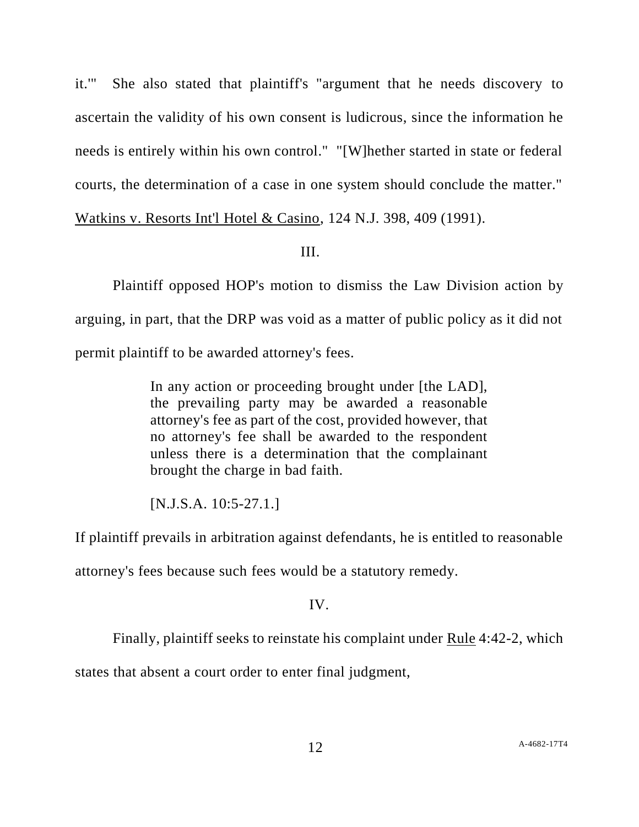it.'" She also stated that plaintiff's "argument that he needs discovery to ascertain the validity of his own consent is ludicrous, since the information he needs is entirely within his own control." "[W]hether started in state or federal courts, the determination of a case in one system should conclude the matter." Watkins v. Resorts Int'l Hotel & Casino, 124 N.J. 398, 409 (1991).

## III.

Plaintiff opposed HOP's motion to dismiss the Law Division action by arguing, in part, that the DRP was void as a matter of public policy as it did not permit plaintiff to be awarded attorney's fees.

> In any action or proceeding brought under [the LAD], the prevailing party may be awarded a reasonable attorney's fee as part of the cost, provided however, that no attorney's fee shall be awarded to the respondent unless there is a determination that the complainant brought the charge in bad faith.

[N.J.S.A. 10:5-27.1.]

If plaintiff prevails in arbitration against defendants, he is entitled to reasonable

attorney's fees because such fees would be a statutory remedy.

# IV.

Finally, plaintiff seeks to reinstate his complaint under Rule 4:42-2, which

states that absent a court order to enter final judgment,